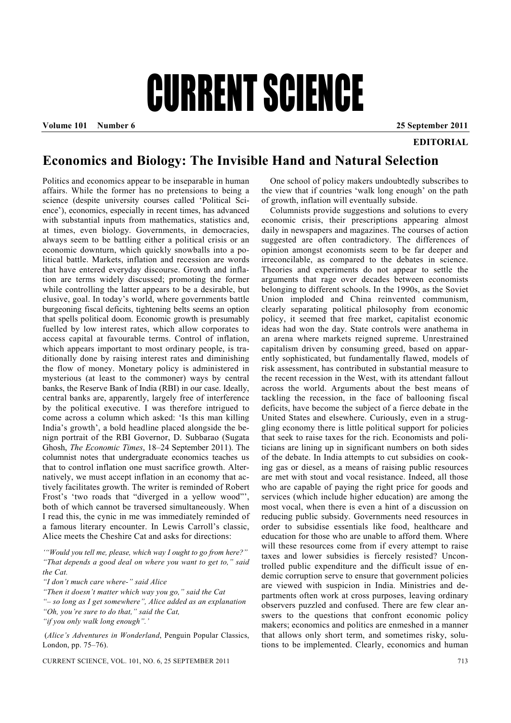## CURRENT SCIENCE

**Volume 101 Number 6 25 September 2011** 

## **EDITORIAL**

## **Economics and Biology: The Invisible Hand and Natural Selection**

Politics and economics appear to be inseparable in human affairs. While the former has no pretensions to being a science (despite university courses called 'Political Science'), economics, especially in recent times, has advanced with substantial inputs from mathematics, statistics and, at times, even biology. Governments, in democracies, always seem to be battling either a political crisis or an economic downturn, which quickly snowballs into a political battle. Markets, inflation and recession are words that have entered everyday discourse. Growth and inflation are terms widely discussed; promoting the former while controlling the latter appears to be a desirable, but elusive, goal. In today's world, where governments battle burgeoning fiscal deficits, tightening belts seems an option that spells political doom. Economic growth is presumably fuelled by low interest rates, which allow corporates to access capital at favourable terms. Control of inflation, which appears important to most ordinary people, is traditionally done by raising interest rates and diminishing the flow of money. Monetary policy is administered in mysterious (at least to the commoner) ways by central banks, the Reserve Bank of India (RBI) in our case. Ideally, central banks are, apparently, largely free of interference by the political executive. I was therefore intrigued to come across a column which asked: 'Is this man killing India's growth', a bold headline placed alongside the benign portrait of the RBI Governor, D. Subbarao (Sugata Ghosh, *The Economic Times*, 18–24 September 2011). The columnist notes that undergraduate economics teaches us that to control inflation one must sacrifice growth. Alternatively, we must accept inflation in an economy that actively facilitates growth. The writer is reminded of Robert Frost's 'two roads that "diverged in a yellow wood"', both of which cannot be traversed simultaneously. When I read this, the cynic in me was immediately reminded of a famous literary encounter. In Lewis Carroll's classic, Alice meets the Cheshire Cat and asks for directions:

*"I don't much care where-" said Alice* 

*"Then it doesn't matter which way you go," said the Cat* 

*"– so long as I get somewhere", Alice added as an explanation* 

*"Oh, you're sure to do that," said the Cat,* 

*"if you only walk long enough".'* 

 (*Alice's Adventures in Wonderland*, Penguin Popular Classics, London, pp. 75–76).

CURRENT SCIENCE, VOL. 101, NO. 6, 25 SEPTEMBER 2011 713

 One school of policy makers undoubtedly subscribes to the view that if countries 'walk long enough' on the path of growth, inflation will eventually subside.

 Columnists provide suggestions and solutions to every economic crisis, their prescriptions appearing almost daily in newspapers and magazines. The courses of action suggested are often contradictory. The differences of opinion amongst economists seem to be far deeper and irreconcilable, as compared to the debates in science. Theories and experiments do not appear to settle the arguments that rage over decades between economists belonging to different schools. In the 1990s, as the Soviet Union imploded and China reinvented communism, clearly separating political philosophy from economic policy, it seemed that free market, capitalist economic ideas had won the day. State controls were anathema in an arena where markets reigned supreme. Unrestrained capitalism driven by consuming greed, based on apparently sophisticated, but fundamentally flawed, models of risk assessment, has contributed in substantial measure to the recent recession in the West, with its attendant fallout across the world. Arguments about the best means of tackling the recession, in the face of ballooning fiscal deficits, have become the subject of a fierce debate in the United States and elsewhere. Curiously, even in a struggling economy there is little political support for policies that seek to raise taxes for the rich. Economists and politicians are lining up in significant numbers on both sides of the debate. In India attempts to cut subsidies on cooking gas or diesel, as a means of raising public resources are met with stout and vocal resistance. Indeed, all those who are capable of paying the right price for goods and services (which include higher education) are among the most vocal, when there is even a hint of a discussion on reducing public subsidy. Governments need resources in order to subsidise essentials like food, healthcare and education for those who are unable to afford them. Where will these resources come from if every attempt to raise taxes and lower subsidies is fiercely resisted? Uncontrolled public expenditure and the difficult issue of endemic corruption serve to ensure that government policies are viewed with suspicion in India. Ministries and departments often work at cross purposes, leaving ordinary observers puzzled and confused. There are few clear answers to the questions that confront economic policy makers; economics and politics are enmeshed in a manner that allows only short term, and sometimes risky, solutions to be implemented. Clearly, economics and human

*<sup>&#</sup>x27;"Would you tell me, please, which way I ought to go from here?" "That depends a good deal on where you want to get to," said the Cat.*